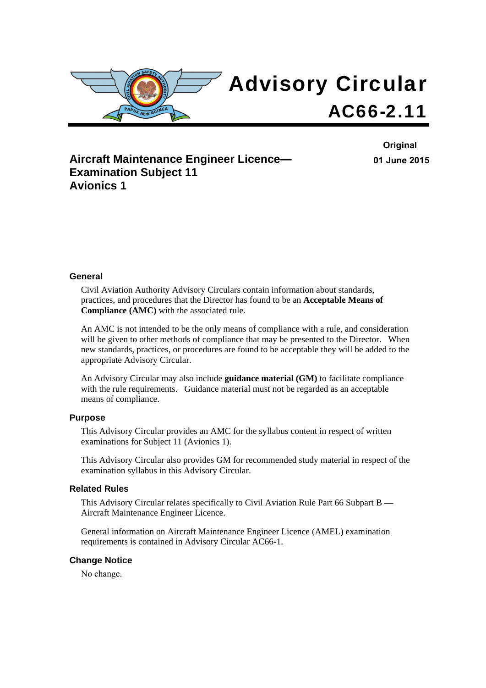

## **Aircraft Maintenance Engineer Licence— Examination Subject 11 Avionics 1**

**Original 01 June 2015**

#### **General**

Civil Aviation Authority Advisory Circulars contain information about standards, practices, and procedures that the Director has found to be an **Acceptable Means of Compliance (AMC)** with the associated rule.

An AMC is not intended to be the only means of compliance with a rule, and consideration will be given to other methods of compliance that may be presented to the Director. When new standards, practices, or procedures are found to be acceptable they will be added to the appropriate Advisory Circular.

An Advisory Circular may also include **guidance material (GM)** to facilitate compliance with the rule requirements. Guidance material must not be regarded as an acceptable means of compliance.

#### **Purpose**

This Advisory Circular provides an AMC for the syllabus content in respect of written examinations for Subject 11 (Avionics 1).

This Advisory Circular also provides GM for recommended study material in respect of the examination syllabus in this Advisory Circular.

#### **Related Rules**

This Advisory Circular relates specifically to Civil Aviation Rule Part 66 Subpart B — Aircraft Maintenance Engineer Licence.

General information on Aircraft Maintenance Engineer Licence (AMEL) examination requirements is contained in Advisory Circular AC66-1.

#### **Change Notice**

No change.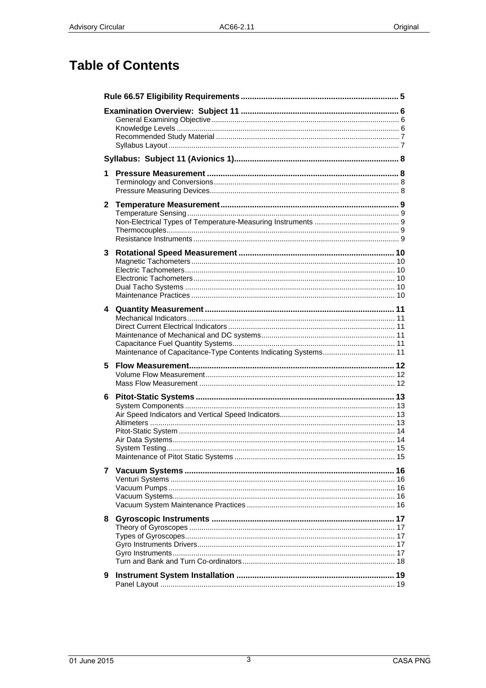# **Table of Contents**

| 1.           |  |
|--------------|--|
| $\mathbf{2}$ |  |
| 3            |  |
|              |  |
|              |  |
|              |  |
|              |  |
|              |  |
|              |  |
|              |  |
|              |  |
| 5            |  |
|              |  |
|              |  |
| 6            |  |
|              |  |
|              |  |
|              |  |
|              |  |
|              |  |
|              |  |
|              |  |
|              |  |
|              |  |
|              |  |
|              |  |
|              |  |
|              |  |
|              |  |
| 9            |  |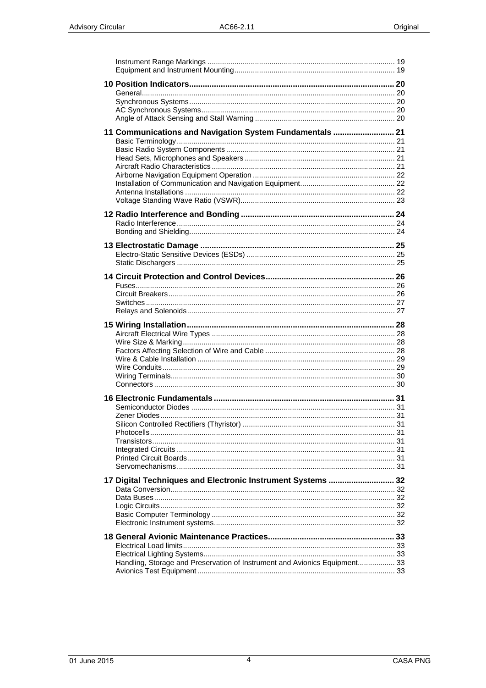| 11 Communications and Navigation System Fundamentals  21                   |  |
|----------------------------------------------------------------------------|--|
|                                                                            |  |
|                                                                            |  |
|                                                                            |  |
|                                                                            |  |
|                                                                            |  |
| 17 Digital Techniques and Electronic Instrument Systems  32                |  |
| Handling, Storage and Preservation of Instrument and Avionics Equipment 33 |  |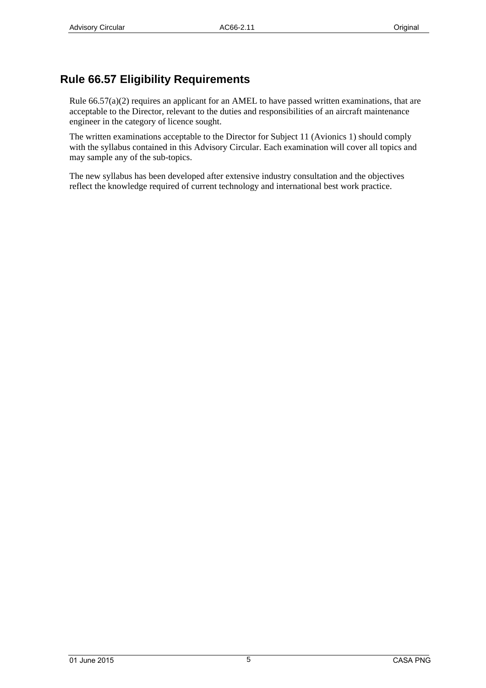## <span id="page-4-0"></span>**Rule 66.57 Eligibility Requirements**

Rule 66.57(a)(2) requires an applicant for an AMEL to have passed written examinations, that are acceptable to the Director, relevant to the duties and responsibilities of an aircraft maintenance engineer in the category of licence sought.

The written examinations acceptable to the Director for Subject 11 (Avionics 1) should comply with the syllabus contained in this Advisory Circular. Each examination will cover all topics and may sample any of the sub-topics.

The new syllabus has been developed after extensive industry consultation and the objectives reflect the knowledge required of current technology and international best work practice.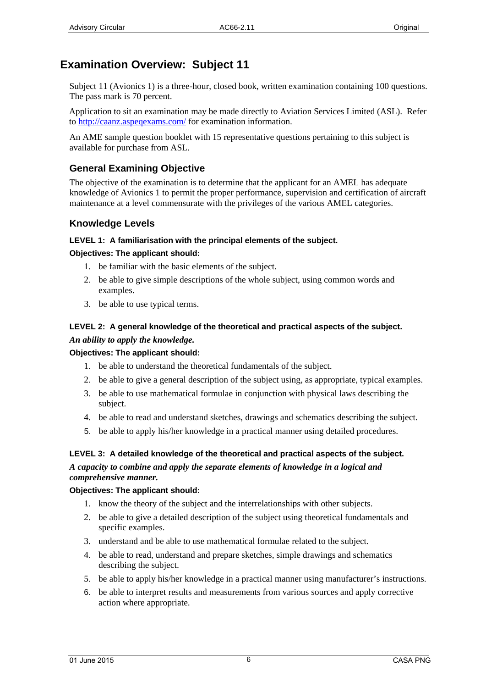## <span id="page-5-0"></span>**Examination Overview: Subject 11**

Subject 11 (Avionics 1) is a three-hour, closed book, written examination containing 100 questions. The pass mark is 70 percent.

Application to sit an examination may be made directly to Aviation Services Limited (ASL). Refer to [http://caanz.aspeqex](http://www.aviation.co.nz/)ams.com/ for examination information.

An AME sample question booklet with 15 representative questions pertaining to this subject is available for purchase from ASL.

### **General Examining Objective**

The objective of the examination is to determine that the applicant for an AMEL has adequate knowledge of Avionics 1 to permit the proper performance, supervision and certification of aircraft maintenance at a level commensurate with the privileges of the various AMEL categories.

### **Knowledge Levels**

### **LEVEL 1: A familiarisation with the principal elements of the subject.**

### **Objectives: The applicant should:**

- 1. be familiar with the basic elements of the subject.
- 2. be able to give simple descriptions of the whole subject, using common words and examples.
- 3. be able to use typical terms.

# **LEVEL 2: A general knowledge of the theoretical and practical aspects of the subject.**

# *An ability to apply the knowledge.*

# **Objectives: The applicant should:**

- 1. be able to understand the theoretical fundamentals of the subject.
- 2. be able to give a general description of the subject using, as appropriate, typical examples.
- 3. be able to use mathematical formulae in conjunction with physical laws describing the subject.
- 4. be able to read and understand sketches, drawings and schematics describing the subject.
- 5. be able to apply his/her knowledge in a practical manner using detailed procedures.

### **LEVEL 3: A detailed knowledge of the theoretical and practical aspects of the subject.**  *A capacity to combine and apply the separate elements of knowledge in a logical and comprehensive manner.*

### **Objectives: The applicant should:**

- 1. know the theory of the subject and the interrelationships with other subjects.
- 2. be able to give a detailed description of the subject using theoretical fundamentals and specific examples.
- 3. understand and be able to use mathematical formulae related to the subject.
- 4. be able to read, understand and prepare sketches, simple drawings and schematics describing the subject.
- 5. be able to apply his/her knowledge in a practical manner using manufacturer's instructions.
- 6. be able to interpret results and measurements from various sources and apply corrective action where appropriate.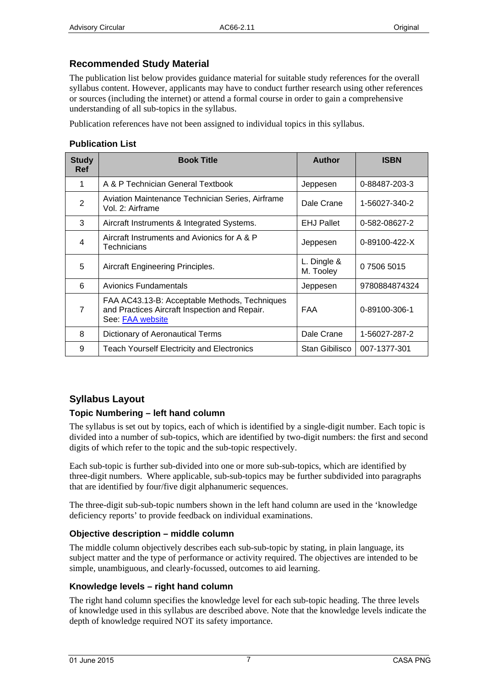### <span id="page-6-0"></span>**Recommended Study Material**

The publication list below provides guidance material for suitable study references for the overall syllabus content. However, applicants may have to conduct further research using other references or sources (including the internet) or attend a formal course in order to gain a comprehensive understanding of all sub-topics in the syllabus.

Publication references have not been assigned to individual topics in this syllabus.

### **Publication List**

| <b>Study</b><br><b>Ref</b> | <b>Book Title</b>                                                                                                  | <b>Author</b>            | <b>ISBN</b>   |
|----------------------------|--------------------------------------------------------------------------------------------------------------------|--------------------------|---------------|
| 1                          | A & P Technician General Textbook                                                                                  | Jeppesen                 | 0-88487-203-3 |
| $\overline{2}$             | Aviation Maintenance Technician Series, Airframe<br>Vol. 2: Airframe                                               | Dale Crane               | 1-56027-340-2 |
| 3                          | Aircraft Instruments & Integrated Systems.                                                                         | <b>EHJ Pallet</b>        | 0-582-08627-2 |
| $\overline{4}$             | Aircraft Instruments and Avionics for A & P<br>Technicians                                                         | Jeppesen                 | 0-89100-422-X |
| 5                          | Aircraft Engineering Principles.                                                                                   | L. Dingle &<br>M. Tooley | 0 7506 5015   |
| 6                          | Avionics Fundamentals                                                                                              | Jeppesen                 | 9780884874324 |
| 7                          | FAA AC43.13-B: Acceptable Methods, Techniques<br>and Practices Aircraft Inspection and Repair.<br>See: FAA website | <b>FAA</b>               | 0-89100-306-1 |
| 8                          | Dictionary of Aeronautical Terms                                                                                   | Dale Crane               | 1-56027-287-2 |
| 9                          | <b>Teach Yourself Electricity and Electronics</b>                                                                  | Stan Gibilisco           | 007-1377-301  |

### **Syllabus Layout**

### **Topic Numbering – left hand column**

The syllabus is set out by topics, each of which is identified by a single-digit number. Each topic is divided into a number of sub-topics, which are identified by two-digit numbers: the first and second digits of which refer to the topic and the sub-topic respectively.

Each sub-topic is further sub-divided into one or more sub-sub-topics, which are identified by three-digit numbers. Where applicable, sub-sub-topics may be further subdivided into paragraphs that are identified by four/five digit alphanumeric sequences.

The three-digit sub-sub-topic numbers shown in the left hand column are used in the 'knowledge deficiency reports' to provide feedback on individual examinations.

### **Objective description – middle column**

The middle column objectively describes each sub-sub-topic by stating, in plain language, its subject matter and the type of performance or activity required. The objectives are intended to be simple, unambiguous, and clearly-focussed, outcomes to aid learning.

### **Knowledge levels – right hand column**

The right hand column specifies the knowledge level for each sub-topic heading. The three levels of knowledge used in this syllabus are described above. Note that the knowledge levels indicate the depth of knowledge required NOT its safety importance.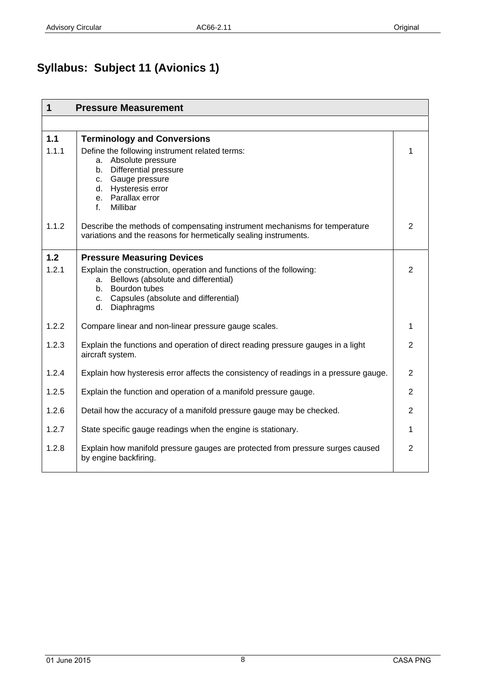# <span id="page-7-0"></span>**Syllabus: Subject 11 (Avionics 1)**

| $\mathbf 1$  | <b>Pressure Measurement</b>                                                                                                                                                                                                 |                |
|--------------|-----------------------------------------------------------------------------------------------------------------------------------------------------------------------------------------------------------------------------|----------------|
|              |                                                                                                                                                                                                                             |                |
| 1.1<br>1.1.1 | <b>Terminology and Conversions</b><br>Define the following instrument related terms:<br>a. Absolute pressure<br>b. Differential pressure<br>c. Gauge pressure<br>d. Hysteresis error<br>e. Parallax error<br>Millibar<br>f. | 1              |
| 1.1.2        | Describe the methods of compensating instrument mechanisms for temperature<br>variations and the reasons for hermetically sealing instruments.                                                                              | 2              |
| 1.2          | <b>Pressure Measuring Devices</b>                                                                                                                                                                                           |                |
| 1.2.1        | Explain the construction, operation and functions of the following:<br>Bellows (absolute and differential)<br>a.<br>Bourdon tubes<br>b.<br>c. Capsules (absolute and differential)<br>d. Diaphragms                         | 2              |
| 1.2.2        | Compare linear and non-linear pressure gauge scales.                                                                                                                                                                        | 1              |
| 1.2.3        | Explain the functions and operation of direct reading pressure gauges in a light<br>aircraft system.                                                                                                                        | 2              |
| 1.2.4        | Explain how hysteresis error affects the consistency of readings in a pressure gauge.                                                                                                                                       | $\overline{2}$ |
| 1.2.5        | Explain the function and operation of a manifold pressure gauge.                                                                                                                                                            | $\overline{2}$ |
| 1.2.6        | Detail how the accuracy of a manifold pressure gauge may be checked.                                                                                                                                                        | $\overline{2}$ |
| 1.2.7        | State specific gauge readings when the engine is stationary.                                                                                                                                                                | 1              |
| 1.2.8        | Explain how manifold pressure gauges are protected from pressure surges caused<br>by engine backfiring.                                                                                                                     | $\overline{2}$ |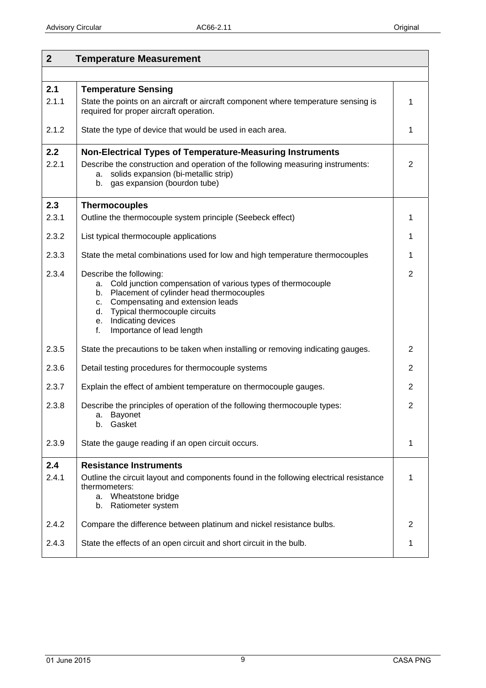<span id="page-8-0"></span>

| $\overline{2}$ | <b>Temperature Measurement</b>                                                                                                                                                                                                                                                              |                |
|----------------|---------------------------------------------------------------------------------------------------------------------------------------------------------------------------------------------------------------------------------------------------------------------------------------------|----------------|
|                |                                                                                                                                                                                                                                                                                             |                |
| 2.1<br>2.1.1   | <b>Temperature Sensing</b><br>State the points on an aircraft or aircraft component where temperature sensing is<br>required for proper aircraft operation.                                                                                                                                 | 1              |
| 2.1.2          | State the type of device that would be used in each area.                                                                                                                                                                                                                                   | 1              |
| 2.2<br>2.2.1   | <b>Non-Electrical Types of Temperature-Measuring Instruments</b><br>Describe the construction and operation of the following measuring instruments:<br>solids expansion (bi-metallic strip)<br>a.<br>gas expansion (bourdon tube)<br>b.                                                     | $\overline{2}$ |
| 2.3            | <b>Thermocouples</b>                                                                                                                                                                                                                                                                        |                |
| 2.3.1          | Outline the thermocouple system principle (Seebeck effect)                                                                                                                                                                                                                                  | 1              |
| 2.3.2          | List typical thermocouple applications                                                                                                                                                                                                                                                      | 1              |
| 2.3.3          | State the metal combinations used for low and high temperature thermocouples                                                                                                                                                                                                                | 1              |
| 2.3.4          | Describe the following:<br>a. Cold junction compensation of various types of thermocouple<br>Placement of cylinder head thermocouples<br>b.<br>Compensating and extension leads<br>C.<br>Typical thermocouple circuits<br>d.<br>Indicating devices<br>e.<br>Importance of lead length<br>f. | $\overline{2}$ |
| 2.3.5          | State the precautions to be taken when installing or removing indicating gauges.                                                                                                                                                                                                            | 2              |
| 2.3.6          | Detail testing procedures for thermocouple systems                                                                                                                                                                                                                                          | $\overline{2}$ |
| 2.3.7          | Explain the effect of ambient temperature on thermocouple gauges.                                                                                                                                                                                                                           | $\overline{2}$ |
| 2.3.8          | Describe the principles of operation of the following thermocouple types:<br>a. Bayonet<br>Gasket<br>b.                                                                                                                                                                                     | $\overline{2}$ |
| 2.3.9          | State the gauge reading if an open circuit occurs.                                                                                                                                                                                                                                          | 1              |
| 2.4<br>2.4.1   | <b>Resistance Instruments</b><br>Outline the circuit layout and components found in the following electrical resistance<br>thermometers:<br>Wheatstone bridge<br>a.<br>Ratiometer system<br>b.                                                                                              | 1              |
| 2.4.2          | Compare the difference between platinum and nickel resistance bulbs.                                                                                                                                                                                                                        | $\overline{2}$ |
| 2.4.3          | State the effects of an open circuit and short circuit in the bulb.                                                                                                                                                                                                                         | 1              |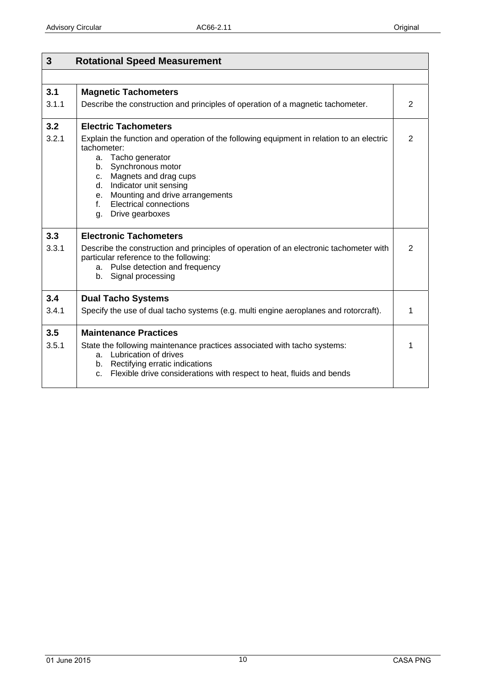<span id="page-9-0"></span>

| 3            | <b>Rotational Speed Measurement</b>                                                                                                                                                                                                                                                                               |                |  |
|--------------|-------------------------------------------------------------------------------------------------------------------------------------------------------------------------------------------------------------------------------------------------------------------------------------------------------------------|----------------|--|
|              |                                                                                                                                                                                                                                                                                                                   |                |  |
| 3.1<br>3.1.1 | <b>Magnetic Tachometers</b><br>Describe the construction and principles of operation of a magnetic tachometer.                                                                                                                                                                                                    | $\overline{2}$ |  |
| 3.2          | <b>Electric Tachometers</b>                                                                                                                                                                                                                                                                                       |                |  |
| 3.2.1        | Explain the function and operation of the following equipment in relation to an electric<br>tachometer:<br>a. Tacho generator<br>b. Synchronous motor<br>c. Magnets and drag cups<br>d. Indicator unit sensing<br>e. Mounting and drive arrangements<br><b>Electrical connections</b><br>f.<br>g. Drive gearboxes | $\overline{2}$ |  |
| 3.3          | <b>Electronic Tachometers</b>                                                                                                                                                                                                                                                                                     |                |  |
| 3.3.1        | Describe the construction and principles of operation of an electronic tachometer with<br>particular reference to the following:<br>a. Pulse detection and frequency<br>b. Signal processing                                                                                                                      | $\overline{2}$ |  |
| 3.4          | <b>Dual Tacho Systems</b>                                                                                                                                                                                                                                                                                         |                |  |
| 3.4.1        | Specify the use of dual tacho systems (e.g. multi engine aeroplanes and rotorcraft).                                                                                                                                                                                                                              | 1              |  |
| 3.5          | <b>Maintenance Practices</b>                                                                                                                                                                                                                                                                                      |                |  |
| 3.5.1        | State the following maintenance practices associated with tacho systems:<br>a. Lubrication of drives<br>b. Rectifying erratic indications<br>Flexible drive considerations with respect to heat, fluids and bends<br>C.                                                                                           | 1              |  |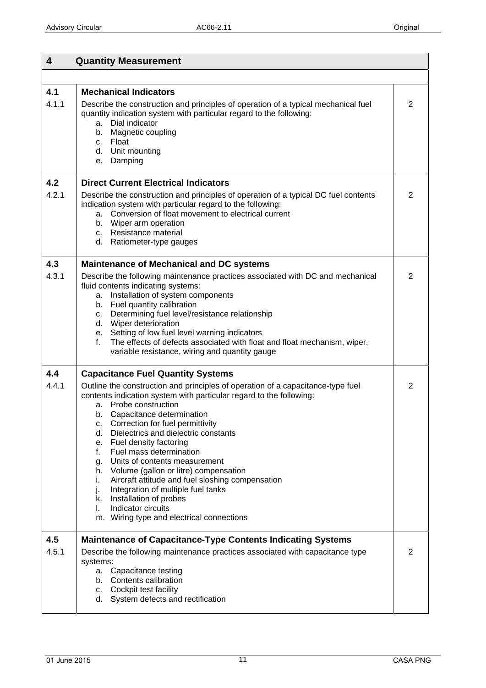<span id="page-10-0"></span>

| $\overline{\mathbf{4}}$ | <b>Quantity Measurement</b>                                                                                                                                                                                                                                                                                                                                                                                                                                                                                                                                                                                                                                                  |   |
|-------------------------|------------------------------------------------------------------------------------------------------------------------------------------------------------------------------------------------------------------------------------------------------------------------------------------------------------------------------------------------------------------------------------------------------------------------------------------------------------------------------------------------------------------------------------------------------------------------------------------------------------------------------------------------------------------------------|---|
|                         |                                                                                                                                                                                                                                                                                                                                                                                                                                                                                                                                                                                                                                                                              |   |
| 4.1                     | <b>Mechanical Indicators</b>                                                                                                                                                                                                                                                                                                                                                                                                                                                                                                                                                                                                                                                 |   |
| 4.1.1                   | Describe the construction and principles of operation of a typical mechanical fuel<br>quantity indication system with particular regard to the following:<br>Dial indicator<br>а.<br>b. Magnetic coupling<br>c. Float<br>d. Unit mounting<br>e. Damping                                                                                                                                                                                                                                                                                                                                                                                                                      | 2 |
| 4.2                     | <b>Direct Current Electrical Indicators</b>                                                                                                                                                                                                                                                                                                                                                                                                                                                                                                                                                                                                                                  |   |
| 4.2.1                   | Describe the construction and principles of operation of a typical DC fuel contents<br>indication system with particular regard to the following:<br>a. Conversion of float movement to electrical current<br>b. Wiper arm operation<br>c. Resistance material<br>d. Ratiometer-type gauges                                                                                                                                                                                                                                                                                                                                                                                  | 2 |
| 4.3                     | <b>Maintenance of Mechanical and DC systems</b>                                                                                                                                                                                                                                                                                                                                                                                                                                                                                                                                                                                                                              |   |
| 4.3.1                   | Describe the following maintenance practices associated with DC and mechanical<br>fluid contents indicating systems:<br>Installation of system components<br>а.<br>b. Fuel quantity calibration<br>c. Determining fuel level/resistance relationship<br>d. Wiper deterioration<br>e. Setting of low fuel level warning indicators<br>The effects of defects associated with float and float mechanism, wiper,<br>f.<br>variable resistance, wiring and quantity gauge                                                                                                                                                                                                        | 2 |
| 4.4                     | <b>Capacitance Fuel Quantity Systems</b>                                                                                                                                                                                                                                                                                                                                                                                                                                                                                                                                                                                                                                     |   |
| 4.4.1                   | Outline the construction and principles of operation of a capacitance-type fuel<br>contents indication system with particular regard to the following:<br>Probe construction<br>а.<br>b. Capacitance determination<br>Correction for fuel permittivity<br>c.<br>Dielectrics and dielectric constants<br>d.<br>e. Fuel density factoring<br>Fuel mass determination<br>f.<br>Units of contents measurement<br>g.<br>h. Volume (gallon or litre) compensation<br>Aircraft attitude and fuel sloshing compensation<br>i.<br>Integration of multiple fuel tanks<br>j.<br>Installation of probes<br>k. I<br>Indicator circuits<br>L.<br>m. Wiring type and electrical connections | 2 |
| 4.5                     | <b>Maintenance of Capacitance-Type Contents Indicating Systems</b>                                                                                                                                                                                                                                                                                                                                                                                                                                                                                                                                                                                                           |   |
| 4.5.1                   | Describe the following maintenance practices associated with capacitance type<br>systems:<br>Capacitance testing<br>а.<br>b. Contents calibration<br>c. Cockpit test facility<br>d. System defects and rectification                                                                                                                                                                                                                                                                                                                                                                                                                                                         | 2 |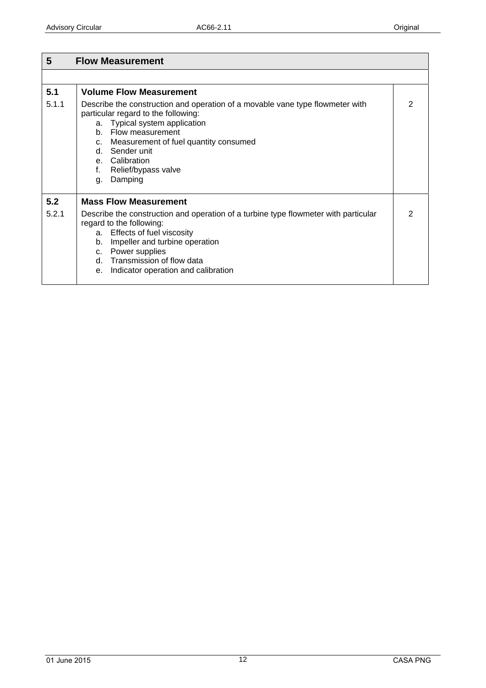<span id="page-11-0"></span>

| 5     | <b>Flow Measurement</b>                                                                                                                                                                                                                                                                                    |   |
|-------|------------------------------------------------------------------------------------------------------------------------------------------------------------------------------------------------------------------------------------------------------------------------------------------------------------|---|
|       |                                                                                                                                                                                                                                                                                                            |   |
| 5.1   | <b>Volume Flow Measurement</b>                                                                                                                                                                                                                                                                             |   |
| 5.1.1 | Describe the construction and operation of a movable vane type flowmeter with<br>particular regard to the following:<br>a. Typical system application<br>b. Flow measurement<br>c. Measurement of fuel quantity consumed<br>d. Sender unit<br>e. Calibration<br>Relief/bypass valve<br>f.<br>Damping<br>g. | 2 |
| 5.2   | <b>Mass Flow Measurement</b>                                                                                                                                                                                                                                                                               |   |
| 5.2.1 | Describe the construction and operation of a turbine type flowmeter with particular<br>regard to the following:<br>a. Effects of fuel viscosity<br>Impeller and turbine operation<br>b.<br>c. Power supplies<br>d. Transmission of flow data<br>Indicator operation and calibration<br>$e_{1}$             | 2 |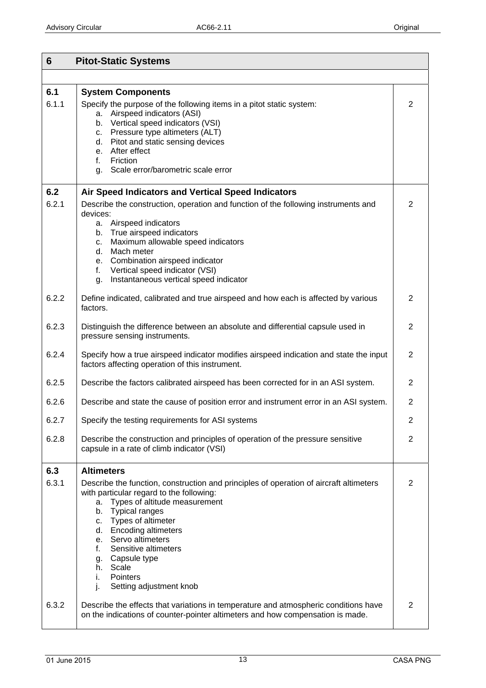<span id="page-12-0"></span>

| 6     | <b>Pitot-Static Systems</b>                                                                    |                |
|-------|------------------------------------------------------------------------------------------------|----------------|
|       |                                                                                                |                |
| 6.1   | <b>System Components</b>                                                                       |                |
| 6.1.1 | Specify the purpose of the following items in a pitot static system:                           | 2              |
|       | a. Airspeed indicators (ASI)<br>b. Vertical speed indicators (VSI)                             |                |
|       | c. Pressure type altimeters (ALT)                                                              |                |
|       | d. Pitot and static sensing devices                                                            |                |
|       | e. After effect<br>Friction<br>f. $\blacksquare$                                               |                |
|       | Scale error/barometric scale error<br>g.                                                       |                |
|       |                                                                                                |                |
| 6.2   | Air Speed Indicators and Vertical Speed Indicators                                             |                |
| 6.2.1 | Describe the construction, operation and function of the following instruments and<br>devices: | 2              |
|       | a. Airspeed indicators                                                                         |                |
|       | b. True airspeed indicators                                                                    |                |
|       | Maximum allowable speed indicators<br>c.                                                       |                |
|       | Mach meter<br>d.<br>e. Combination airspeed indicator                                          |                |
|       | Vertical speed indicator (VSI)<br>f.                                                           |                |
|       | Instantaneous vertical speed indicator<br>g.                                                   |                |
| 6.2.2 | Define indicated, calibrated and true airspeed and how each is affected by various             | 2              |
|       | factors.                                                                                       |                |
| 6.2.3 | Distinguish the difference between an absolute and differential capsule used in                | 2              |
|       | pressure sensing instruments.                                                                  |                |
| 6.2.4 | Specify how a true airspeed indicator modifies airspeed indication and state the input         | 2              |
|       | factors affecting operation of this instrument.                                                |                |
| 6.2.5 | Describe the factors calibrated airspeed has been corrected for in an ASI system.              | 2              |
| 6.2.6 | Describe and state the cause of position error and instrument error in an ASI system.          | $\overline{2}$ |
|       |                                                                                                |                |
| 6.2.7 | Specify the testing requirements for ASI systems                                               | $\overline{2}$ |
| 6.2.8 | Describe the construction and principles of operation of the pressure sensitive                | 2              |
|       | capsule in a rate of climb indicator (VSI)                                                     |                |
| 6.3   | <b>Altimeters</b>                                                                              |                |
| 6.3.1 | Describe the function, construction and principles of operation of aircraft altimeters         | 2              |
|       | with particular regard to the following:                                                       |                |
|       | Types of altitude measurement<br>a.<br><b>Typical ranges</b><br>b.                             |                |
|       | Types of altimeter<br>C.                                                                       |                |
|       | d. Encoding altimeters                                                                         |                |
|       | Servo altimeters<br>е.                                                                         |                |
|       | Sensitive altimeters<br>f.                                                                     |                |
|       | Capsule type<br>g.<br>h. Scale                                                                 |                |
|       | Pointers<br>i.                                                                                 |                |
|       | Setting adjustment knob<br>j.                                                                  |                |
| 6.3.2 | Describe the effects that variations in temperature and atmospheric conditions have            | 2              |
|       | on the indications of counter-pointer altimeters and how compensation is made.                 |                |
|       |                                                                                                |                |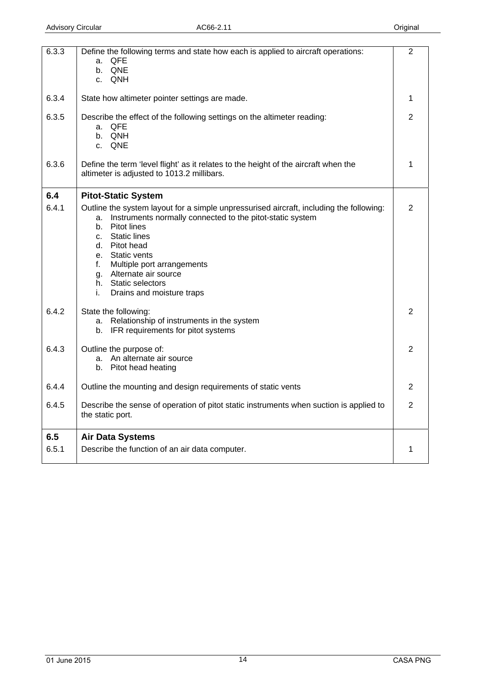<span id="page-13-0"></span>

| 6.3.3 | Define the following terms and state how each is applied to aircraft operations:<br><b>QFE</b><br>а.<br>b. QNE<br>c. QNH                                                                                                                                                                                                  | $\overline{2}$ |
|-------|---------------------------------------------------------------------------------------------------------------------------------------------------------------------------------------------------------------------------------------------------------------------------------------------------------------------------|----------------|
| 6.3.4 | State how altimeter pointer settings are made.                                                                                                                                                                                                                                                                            | 1              |
| 6.3.5 | Describe the effect of the following settings on the altimeter reading:<br>a. QFE<br>b. QNH<br>c. QNE                                                                                                                                                                                                                     | $\overline{2}$ |
| 6.3.6 | Define the term 'level flight' as it relates to the height of the aircraft when the<br>altimeter is adjusted to 1013.2 millibars.                                                                                                                                                                                         | 1              |
| 6.4   | <b>Pitot-Static System</b>                                                                                                                                                                                                                                                                                                |                |
| 6.4.1 | Outline the system layout for a simple unpressurised aircraft, including the following:<br>Instruments normally connected to the pitot-static system<br>a.<br>b. Pitot lines<br>c. Static lines<br>d. Pitot head<br>e. Static vents<br>Multiple port arrangements<br>f.<br>g. Alternate air source<br>h. Static selectors | $\overline{2}$ |
| 6.4.2 | Drains and moisture traps<br>i.<br>State the following:                                                                                                                                                                                                                                                                   | $\overline{2}$ |
|       | a. Relationship of instruments in the system<br>b. IFR requirements for pitot systems                                                                                                                                                                                                                                     |                |
| 6.4.3 | Outline the purpose of:<br>a. An alternate air source<br>b. Pitot head heating                                                                                                                                                                                                                                            | $\overline{2}$ |
| 6.4.4 | Outline the mounting and design requirements of static vents                                                                                                                                                                                                                                                              | $\overline{2}$ |
| 6.4.5 | Describe the sense of operation of pitot static instruments when suction is applied to<br>the static port.                                                                                                                                                                                                                | $\overline{2}$ |
| 6.5   | <b>Air Data Systems</b>                                                                                                                                                                                                                                                                                                   |                |
| 6.5.1 | Describe the function of an air data computer.                                                                                                                                                                                                                                                                            | 1              |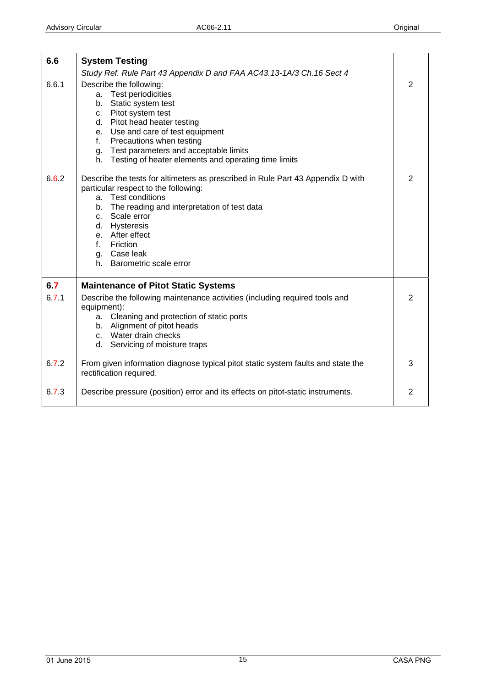<span id="page-14-0"></span>

| 6.6   | <b>System Testing</b>                                                                                                                                                                                                                                                                                             |   |
|-------|-------------------------------------------------------------------------------------------------------------------------------------------------------------------------------------------------------------------------------------------------------------------------------------------------------------------|---|
|       | Study Ref. Rule Part 43 Appendix D and FAA AC43.13-1A/3 Ch.16 Sect 4                                                                                                                                                                                                                                              |   |
| 6.6.1 | Describe the following:<br>a. Test periodicities<br>b. Static system test<br>c. Pitot system test<br>d. Pitot head heater testing<br>e. Use and care of test equipment<br>f. Precautions when testing<br>g. Test parameters and acceptable limits<br>h. Testing of heater elements and operating time limits      | 2 |
| 6.6.2 | Describe the tests for altimeters as prescribed in Rule Part 43 Appendix D with<br>particular respect to the following:<br>a. Test conditions<br>b. The reading and interpretation of test data<br>c. Scale error<br>d. Hysteresis<br>e. After effect<br>f. Friction<br>g. Case leak<br>h. Barometric scale error | 2 |
| 6.7   | <b>Maintenance of Pitot Static Systems</b>                                                                                                                                                                                                                                                                        |   |
| 6.71  | Describe the following maintenance activities (including required tools and<br>equipment):<br>a. Cleaning and protection of static ports<br>b. Alignment of pitot heads<br>c. Water drain checks<br>d. Servicing of moisture traps                                                                                | 2 |
| 6.72  | From given information diagnose typical pitot static system faults and state the<br>rectification required.                                                                                                                                                                                                       | 3 |
| 6.73  | Describe pressure (position) error and its effects on pitot-static instruments.                                                                                                                                                                                                                                   | 2 |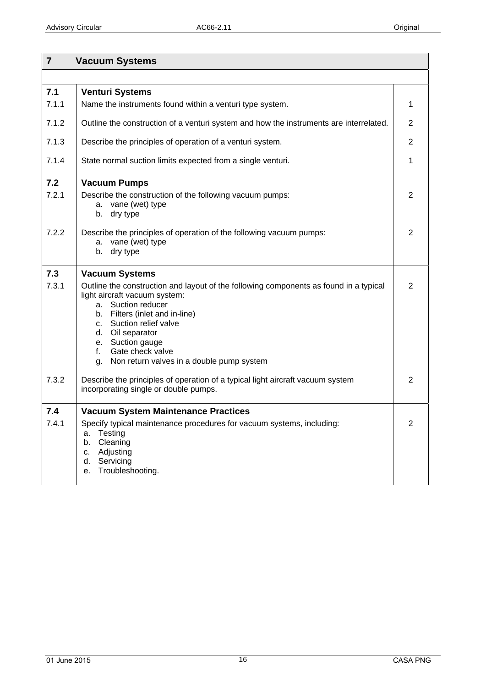<span id="page-15-0"></span>

| $\overline{7}$        | <b>Vacuum Systems</b>                                                                                                                                                                                                                                                                                                                                                                                                                     |                     |
|-----------------------|-------------------------------------------------------------------------------------------------------------------------------------------------------------------------------------------------------------------------------------------------------------------------------------------------------------------------------------------------------------------------------------------------------------------------------------------|---------------------|
|                       |                                                                                                                                                                                                                                                                                                                                                                                                                                           |                     |
| 7.1<br>7.1.1          | <b>Venturi Systems</b><br>Name the instruments found within a venturi type system.                                                                                                                                                                                                                                                                                                                                                        | 1                   |
| 7.1.2                 | Outline the construction of a venturi system and how the instruments are interrelated.                                                                                                                                                                                                                                                                                                                                                    | $\overline{2}$      |
| 7.1.3                 | Describe the principles of operation of a venturi system.                                                                                                                                                                                                                                                                                                                                                                                 | $\overline{2}$      |
| 7.1.4                 | State normal suction limits expected from a single venturi.                                                                                                                                                                                                                                                                                                                                                                               | 1                   |
| 7.2<br>7.2.1          | <b>Vacuum Pumps</b><br>Describe the construction of the following vacuum pumps:<br>a. vane (wet) type<br>b. dry type                                                                                                                                                                                                                                                                                                                      | $\overline{2}$      |
| 7.2.2                 | Describe the principles of operation of the following vacuum pumps:<br>a. vane (wet) type<br>dry type<br>b.                                                                                                                                                                                                                                                                                                                               | $\overline{2}$      |
| 7.3<br>7.3.1<br>7.3.2 | <b>Vacuum Systems</b><br>Outline the construction and layout of the following components as found in a typical<br>light aircraft vacuum system:<br>a. Suction reducer<br>b. Filters (inlet and in-line)<br>Suction relief valve<br>C.<br>d. Oil separator<br>e. Suction gauge<br>f.<br>Gate check valve<br>g. Non return valves in a double pump system<br>Describe the principles of operation of a typical light aircraft vacuum system | 2<br>$\overline{2}$ |
|                       | incorporating single or double pumps.                                                                                                                                                                                                                                                                                                                                                                                                     |                     |
| 7.4<br>7.4.1          | <b>Vacuum System Maintenance Practices</b><br>Specify typical maintenance procedures for vacuum systems, including:<br>Testing<br>а.<br>Cleaning<br>b.<br>Adjusting<br>c.<br>Servicing<br>d.<br>Troubleshooting.<br>е.                                                                                                                                                                                                                    | $\overline{2}$      |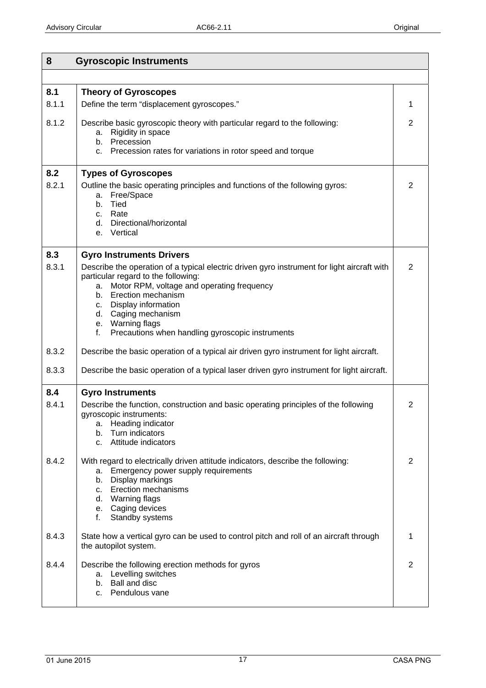<span id="page-16-0"></span>

| 8     | <b>Gyroscopic Instruments</b>                                                                                                                                                                                                                                                                                                                  |                |
|-------|------------------------------------------------------------------------------------------------------------------------------------------------------------------------------------------------------------------------------------------------------------------------------------------------------------------------------------------------|----------------|
|       |                                                                                                                                                                                                                                                                                                                                                |                |
| 8.1   | <b>Theory of Gyroscopes</b>                                                                                                                                                                                                                                                                                                                    |                |
| 8.1.1 | Define the term "displacement gyroscopes."                                                                                                                                                                                                                                                                                                     | 1              |
| 8.1.2 | Describe basic gyroscopic theory with particular regard to the following:<br>Rigidity in space<br>а.<br>b. Precession<br>Precession rates for variations in rotor speed and torque<br>C.                                                                                                                                                       | $\overline{2}$ |
| 8.2   | <b>Types of Gyroscopes</b>                                                                                                                                                                                                                                                                                                                     |                |
| 8.2.1 | Outline the basic operating principles and functions of the following gyros:<br>Free/Space<br>a.<br>Tied<br>b.<br>c. Rate<br>d. Directional/horizontal<br>Vertical<br>e.                                                                                                                                                                       | $\overline{2}$ |
| 8.3   | <b>Gyro Instruments Drivers</b>                                                                                                                                                                                                                                                                                                                |                |
| 8.3.1 | Describe the operation of a typical electric driven gyro instrument for light aircraft with<br>particular regard to the following:<br>Motor RPM, voltage and operating frequency<br>a.<br>b. Erection mechanism<br>c. Display information<br>d. Caging mechanism<br>e. Warning flags<br>Precautions when handling gyroscopic instruments<br>f. | $\overline{2}$ |
| 8.3.2 | Describe the basic operation of a typical air driven gyro instrument for light aircraft.                                                                                                                                                                                                                                                       |                |
| 8.3.3 | Describe the basic operation of a typical laser driven gyro instrument for light aircraft.                                                                                                                                                                                                                                                     |                |
| 8.4   | <b>Gyro Instruments</b>                                                                                                                                                                                                                                                                                                                        |                |
| 8.4.1 | Describe the function, construction and basic operating principles of the following<br>gyroscopic instruments:<br>Heading indicator<br>a.<br>Turn indicators<br>b.<br>Attitude indicators<br>C.                                                                                                                                                | 2              |
| 8.4.2 | With regard to electrically driven attitude indicators, describe the following:<br>a. Emergency power supply requirements<br>b. Display markings<br><b>Erection mechanisms</b><br>C.<br>d. Warning flags<br>e. Caging devices<br>f.<br>Standby systems                                                                                         | $\overline{2}$ |
| 8.4.3 | State how a vertical gyro can be used to control pitch and roll of an aircraft through<br>the autopilot system.                                                                                                                                                                                                                                | 1              |
| 8.4.4 | Describe the following erection methods for gyros<br>a. Levelling switches<br>b. Ball and disc<br>c. Pendulous vane                                                                                                                                                                                                                            | 2              |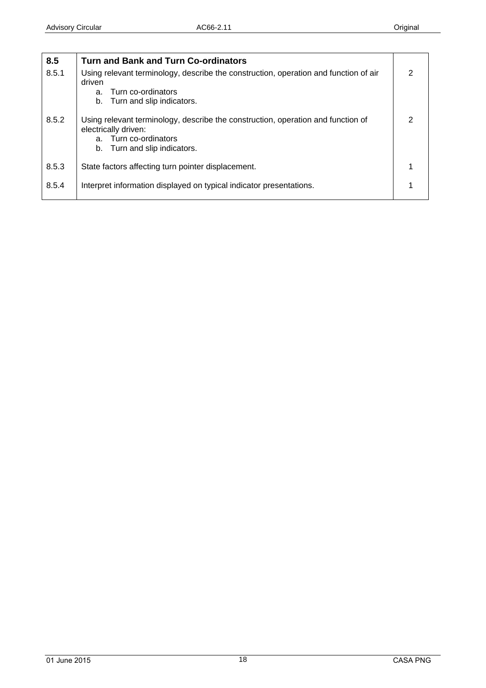<span id="page-17-0"></span>

| 8.5   | <b>Turn and Bank and Turn Co-ordinators</b>                                                                                                                       |               |
|-------|-------------------------------------------------------------------------------------------------------------------------------------------------------------------|---------------|
| 8.5.1 | Using relevant terminology, describe the construction, operation and function of air<br>driven                                                                    | $\mathcal{P}$ |
|       | Turn co-ordinators<br>a.                                                                                                                                          |               |
|       | b. Turn and slip indicators.                                                                                                                                      |               |
| 8.5.2 | Using relevant terminology, describe the construction, operation and function of<br>electrically driven:<br>a. Turn co-ordinators<br>b. Turn and slip indicators. | 2             |
| 8.5.3 | State factors affecting turn pointer displacement.                                                                                                                |               |
| 8.5.4 | Interpret information displayed on typical indicator presentations.                                                                                               |               |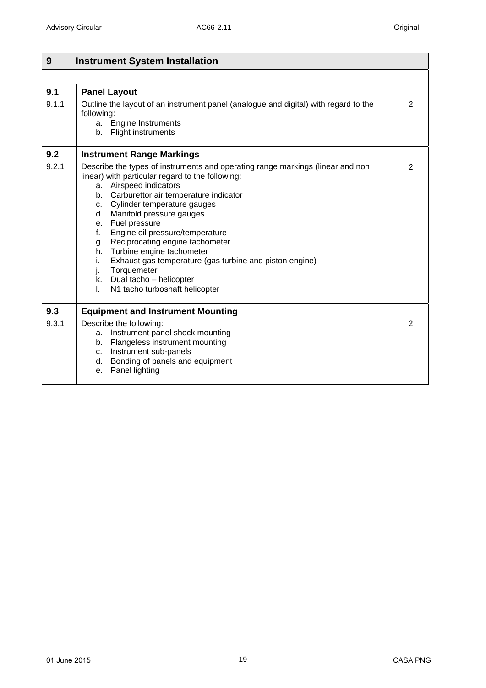<span id="page-18-0"></span>

| 9<br><b>Instrument System Installation</b> |                                                                                                                                                                                                                                                                                                                                                                                                                                                                                                                                                                                |                |
|--------------------------------------------|--------------------------------------------------------------------------------------------------------------------------------------------------------------------------------------------------------------------------------------------------------------------------------------------------------------------------------------------------------------------------------------------------------------------------------------------------------------------------------------------------------------------------------------------------------------------------------|----------------|
|                                            |                                                                                                                                                                                                                                                                                                                                                                                                                                                                                                                                                                                |                |
| 9.1<br>9.1.1                               | <b>Panel Layout</b><br>Outline the layout of an instrument panel (analogue and digital) with regard to the<br>following:<br>a. Engine Instruments<br>b. Flight instruments                                                                                                                                                                                                                                                                                                                                                                                                     | $\overline{2}$ |
| 9.2                                        | <b>Instrument Range Markings</b>                                                                                                                                                                                                                                                                                                                                                                                                                                                                                                                                               |                |
| 9.2.1                                      | Describe the types of instruments and operating range markings (linear and non<br>linear) with particular regard to the following:<br>a. Airspeed indicators<br>b. Carburettor air temperature indicator<br>c. Cylinder temperature gauges<br>d. Manifold pressure gauges<br>Fuel pressure<br>e.<br>Engine oil pressure/temperature<br>f.<br>Reciprocating engine tachometer<br>g.<br>h. Turbine engine tachometer<br>Exhaust gas temperature (gas turbine and piston engine)<br>i.<br>Torquemeter<br>j.<br>k. Dual tacho - helicopter<br>N1 tacho turboshaft helicopter<br>I. | 2              |
| 9.3                                        | <b>Equipment and Instrument Mounting</b>                                                                                                                                                                                                                                                                                                                                                                                                                                                                                                                                       |                |
| 9.3.1                                      | Describe the following:<br>Instrument panel shock mounting<br>а.<br>b. Flangeless instrument mounting<br>c. Instrument sub-panels<br>d. Bonding of panels and equipment<br>e. Panel lighting                                                                                                                                                                                                                                                                                                                                                                                   | $\overline{2}$ |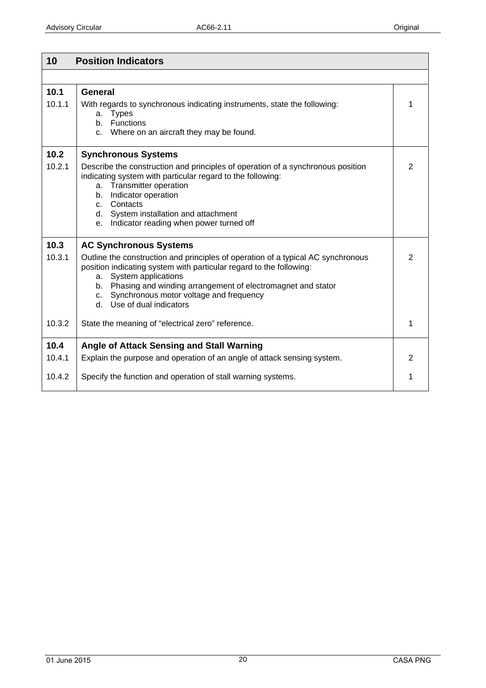<span id="page-19-0"></span>

| 10     | <b>Position Indicators</b>                                                                                                                                                                                                                                                                                                           |                |
|--------|--------------------------------------------------------------------------------------------------------------------------------------------------------------------------------------------------------------------------------------------------------------------------------------------------------------------------------------|----------------|
|        |                                                                                                                                                                                                                                                                                                                                      |                |
| 10.1   | General                                                                                                                                                                                                                                                                                                                              |                |
| 10.1.1 | With regards to synchronous indicating instruments, state the following:<br><b>Types</b><br>a.<br>b. Functions<br>Where on an aircraft they may be found.<br>C.                                                                                                                                                                      | 1              |
| 10.2   | <b>Synchronous Systems</b>                                                                                                                                                                                                                                                                                                           |                |
| 10.2.1 | Describe the construction and principles of operation of a synchronous position<br>indicating system with particular regard to the following:<br>a. Transmitter operation<br>Indicator operation<br>b.<br>c. Contacts<br>d. System installation and attachment<br>Indicator reading when power turned off<br>е.                      | 2              |
| 10.3   | <b>AC Synchronous Systems</b>                                                                                                                                                                                                                                                                                                        |                |
| 10.3.1 | Outline the construction and principles of operation of a typical AC synchronous<br>position indicating system with particular regard to the following:<br>System applications<br>а.<br>b. Phasing and winding arrangement of electromagnet and stator<br>Synchronous motor voltage and frequency<br>C.<br>d. Use of dual indicators | $\overline{2}$ |
| 10.3.2 | State the meaning of "electrical zero" reference.                                                                                                                                                                                                                                                                                    | 1              |
| 10.4   | Angle of Attack Sensing and Stall Warning                                                                                                                                                                                                                                                                                            |                |
| 10.4.1 | Explain the purpose and operation of an angle of attack sensing system.                                                                                                                                                                                                                                                              | 2              |
| 10.4.2 | Specify the function and operation of stall warning systems.                                                                                                                                                                                                                                                                         | 1              |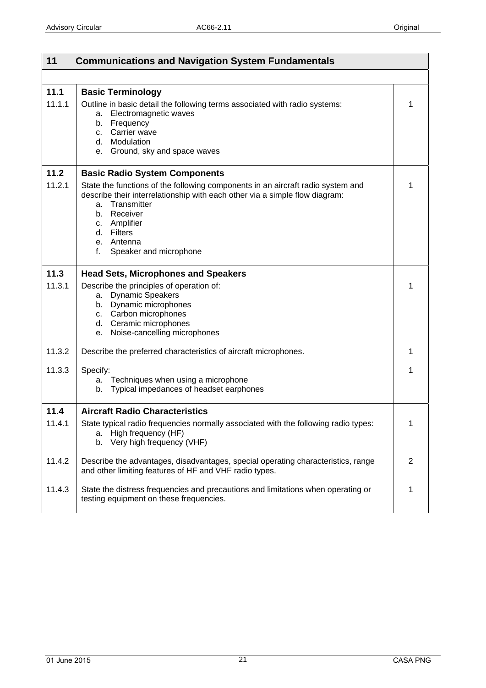<span id="page-20-0"></span>

| 11             | <b>Communications and Navigation System Fundamentals</b>                                                                                                                                                                                                                    |                |
|----------------|-----------------------------------------------------------------------------------------------------------------------------------------------------------------------------------------------------------------------------------------------------------------------------|----------------|
|                |                                                                                                                                                                                                                                                                             |                |
| 11.1<br>11.1.1 | <b>Basic Terminology</b><br>Outline in basic detail the following terms associated with radio systems:<br>a. Electromagnetic waves<br>b. Frequency<br>c. Carrier wave<br>d. Modulation<br>Ground, sky and space waves<br>e.                                                 | 1              |
| 11.2           | <b>Basic Radio System Components</b>                                                                                                                                                                                                                                        |                |
| 11.2.1         | State the functions of the following components in an aircraft radio system and<br>describe their interrelationship with each other via a simple flow diagram:<br>a. Transmitter<br>b. Receiver<br>c. Amplifier<br>d. Filters<br>e. Antenna<br>Speaker and microphone<br>f. | 1              |
| 11.3           | <b>Head Sets, Microphones and Speakers</b>                                                                                                                                                                                                                                  |                |
| 11.3.1         | Describe the principles of operation of:<br><b>Dynamic Speakers</b><br>а.<br>b. Dynamic microphones<br>c. Carbon microphones<br>d. Ceramic microphones<br>Noise-cancelling microphones<br>e.                                                                                | 1              |
| 11.3.2         | Describe the preferred characteristics of aircraft microphones.                                                                                                                                                                                                             | 1              |
| 11.3.3         | Specify:<br>a. Techniques when using a microphone<br>b. Typical impedances of headset earphones                                                                                                                                                                             | 1              |
| 11.4           | <b>Aircraft Radio Characteristics</b>                                                                                                                                                                                                                                       |                |
| 11.4.1         | State typical radio frequencies normally associated with the following radio types:<br>a. High frequency (HF)<br>b. Very high frequency (VHF)                                                                                                                               | 1              |
| 11.4.2         | Describe the advantages, disadvantages, special operating characteristics, range<br>and other limiting features of HF and VHF radio types.                                                                                                                                  | $\overline{2}$ |
| 11.4.3         | State the distress frequencies and precautions and limitations when operating or<br>testing equipment on these frequencies.                                                                                                                                                 | 1              |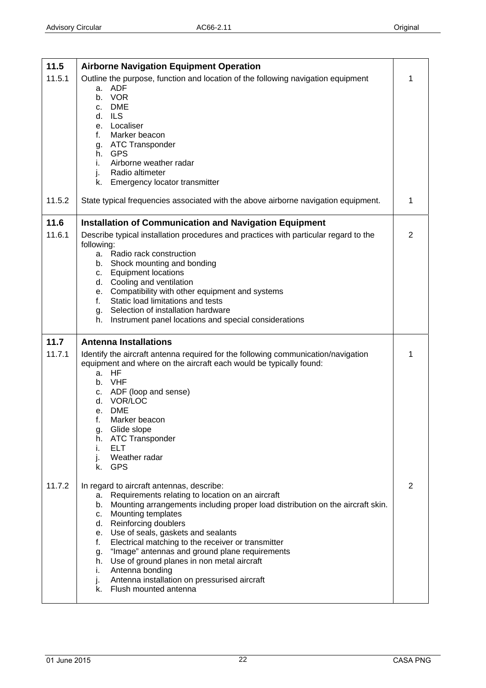<span id="page-21-0"></span>

| 11.5   | <b>Airborne Navigation Equipment Operation</b>                                                     |                |
|--------|----------------------------------------------------------------------------------------------------|----------------|
| 11.5.1 | Outline the purpose, function and location of the following navigation equipment                   | 1              |
|        | a. ADF<br>b. VOR                                                                                   |                |
|        | c. DME                                                                                             |                |
|        | d. ILS                                                                                             |                |
|        | e. Localiser                                                                                       |                |
|        | f.<br>Marker beacon<br>ATC Transponder                                                             |                |
|        | g.<br>h. GPS                                                                                       |                |
|        | Airborne weather radar<br>i.                                                                       |                |
|        | Radio altimeter<br>j.                                                                              |                |
|        | k. Emergency locator transmitter                                                                   |                |
| 11.5.2 | State typical frequencies associated with the above airborne navigation equipment.                 | 1              |
| 11.6   | <b>Installation of Communication and Navigation Equipment</b>                                      |                |
| 11.6.1 | Describe typical installation procedures and practices with particular regard to the<br>following: | $\overline{2}$ |
|        | a. Radio rack construction                                                                         |                |
|        | Shock mounting and bonding<br>b.                                                                   |                |
|        | <b>Equipment locations</b><br>C.<br>d. Cooling and ventilation                                     |                |
|        | e. Compatibility with other equipment and systems                                                  |                |
|        | Static load limitations and tests<br>f.                                                            |                |
|        | g. Selection of installation hardware                                                              |                |
|        | Instrument panel locations and special considerations<br>h.                                        |                |
|        |                                                                                                    |                |
| 11.7   | <b>Antenna Installations</b>                                                                       |                |
| 11.7.1 | Identify the aircraft antenna required for the following communication/navigation                  | 1              |
|        | equipment and where on the aircraft each would be typically found:                                 |                |
|        | a. HF                                                                                              |                |
|        | b. VHF<br>c. ADF (loop and sense)                                                                  |                |
|        | d. VOR/LOC                                                                                         |                |
|        | e. DME                                                                                             |                |
|        | f.<br>Marker beacon                                                                                |                |
|        | g. Glide slope<br>h. ATC Transponder                                                               |                |
|        | <b>ELT</b><br>İ.                                                                                   |                |
|        | Weather radar<br>ı.                                                                                |                |
|        | k. GPS                                                                                             |                |
| 11.7.2 | In regard to aircraft antennas, describe:                                                          | $\overline{2}$ |
|        | Requirements relating to location on an aircraft<br>а.                                             |                |
|        | Mounting arrangements including proper load distribution on the aircraft skin.<br>b.<br>c.         |                |
|        | Mounting templates<br>Reinforcing doublers<br>d.                                                   |                |
|        | Use of seals, gaskets and sealants<br>е.                                                           |                |
|        | Electrical matching to the receiver or transmitter<br>f.                                           |                |
|        | "Image" antennas and ground plane requirements<br>g.<br>h.                                         |                |
|        | Use of ground planes in non metal aircraft<br>Antenna bonding<br>Ĺ.                                |                |
|        | Antenna installation on pressurised aircraft<br>j.<br>k. Flush mounted antenna                     |                |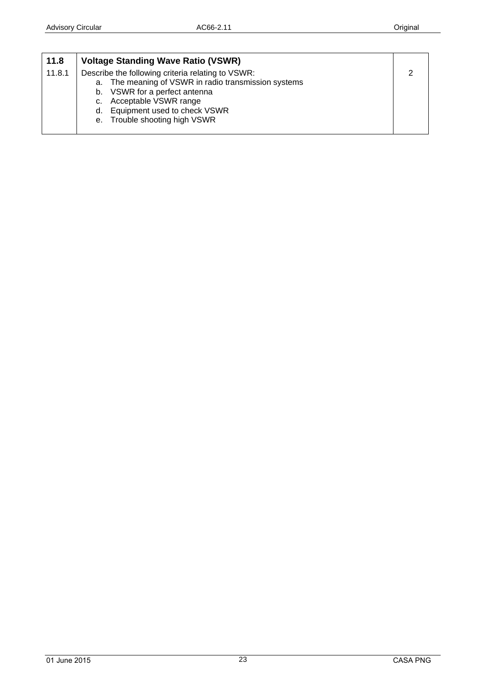<span id="page-22-0"></span>

| 11.8   | <b>Voltage Standing Wave Ratio (VSWR)</b>               |   |
|--------|---------------------------------------------------------|---|
| 11.8.1 | Describe the following criteria relating to VSWR:       | ◠ |
|        | The meaning of VSWR in radio transmission systems<br>а. |   |
|        | b. VSWR for a perfect antenna                           |   |
|        | Acceptable VSWR range<br>C.                             |   |
|        | Equipment used to check VSWR<br>d.                      |   |
|        | Trouble shooting high VSWR<br>$e_{1}$                   |   |
|        |                                                         |   |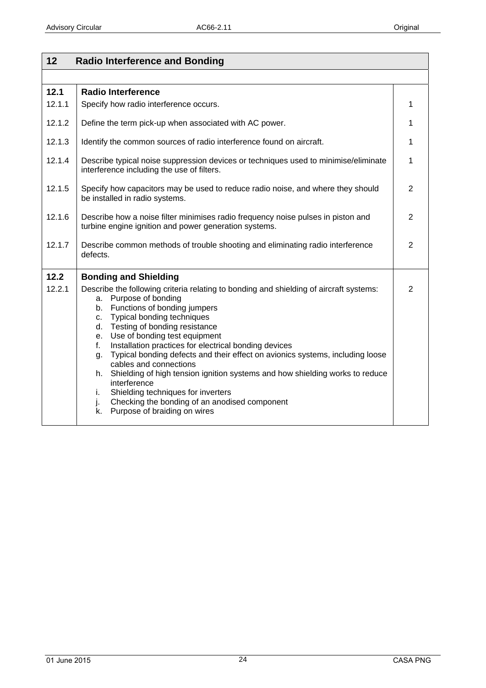<span id="page-23-0"></span>

| 12     | <b>Radio Interference and Bonding</b>                                                                                                                                                                                                                                                                                                                                                                                                                                                                                                                                                                                                                                                      |                |
|--------|--------------------------------------------------------------------------------------------------------------------------------------------------------------------------------------------------------------------------------------------------------------------------------------------------------------------------------------------------------------------------------------------------------------------------------------------------------------------------------------------------------------------------------------------------------------------------------------------------------------------------------------------------------------------------------------------|----------------|
|        |                                                                                                                                                                                                                                                                                                                                                                                                                                                                                                                                                                                                                                                                                            |                |
| 12.1   | <b>Radio Interference</b>                                                                                                                                                                                                                                                                                                                                                                                                                                                                                                                                                                                                                                                                  |                |
| 12.1.1 | Specify how radio interference occurs.                                                                                                                                                                                                                                                                                                                                                                                                                                                                                                                                                                                                                                                     | 1              |
| 12.1.2 | Define the term pick-up when associated with AC power.                                                                                                                                                                                                                                                                                                                                                                                                                                                                                                                                                                                                                                     | 1              |
| 12.1.3 | Identify the common sources of radio interference found on aircraft.                                                                                                                                                                                                                                                                                                                                                                                                                                                                                                                                                                                                                       | 1              |
| 12.1.4 | Describe typical noise suppression devices or techniques used to minimise/eliminate<br>interference including the use of filters.                                                                                                                                                                                                                                                                                                                                                                                                                                                                                                                                                          | 1              |
| 12.1.5 | Specify how capacitors may be used to reduce radio noise, and where they should<br>be installed in radio systems.                                                                                                                                                                                                                                                                                                                                                                                                                                                                                                                                                                          | $\overline{2}$ |
| 12.1.6 | Describe how a noise filter minimises radio frequency noise pulses in piston and<br>turbine engine ignition and power generation systems.                                                                                                                                                                                                                                                                                                                                                                                                                                                                                                                                                  | 2              |
| 12.1.7 | Describe common methods of trouble shooting and eliminating radio interference<br>defects.                                                                                                                                                                                                                                                                                                                                                                                                                                                                                                                                                                                                 | $\overline{2}$ |
| 12.2   | <b>Bonding and Shielding</b>                                                                                                                                                                                                                                                                                                                                                                                                                                                                                                                                                                                                                                                               |                |
| 12.2.1 | Describe the following criteria relating to bonding and shielding of aircraft systems:<br>a. Purpose of bonding<br>b. Functions of bonding jumpers<br>Typical bonding techniques<br>C.<br>Testing of bonding resistance<br>d.<br>e. Use of bonding test equipment<br>Installation practices for electrical bonding devices<br>f.<br>Typical bonding defects and their effect on avionics systems, including loose<br>g.<br>cables and connections<br>h. Shielding of high tension ignition systems and how shielding works to reduce<br>interference<br>Shielding techniques for inverters<br>i.<br>Checking the bonding of an anodised component<br>j.<br>k. Purpose of braiding on wires | $\overline{2}$ |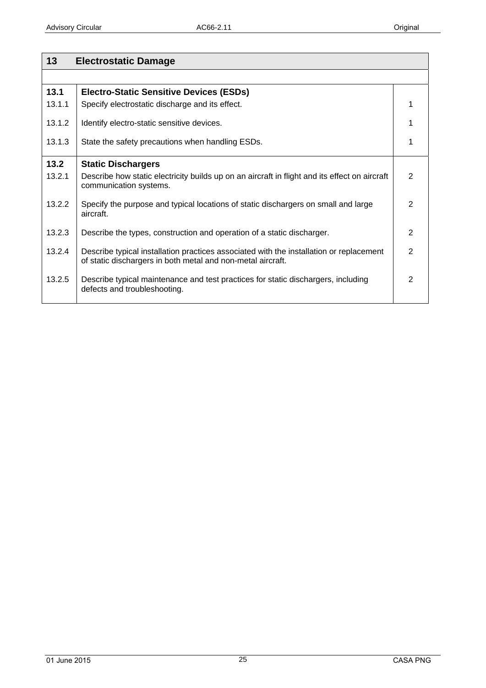<span id="page-24-0"></span>

| 13     | <b>Electrostatic Damage</b>                                                                                                                            |   |
|--------|--------------------------------------------------------------------------------------------------------------------------------------------------------|---|
|        |                                                                                                                                                        |   |
| 13.1   | <b>Electro-Static Sensitive Devices (ESDs)</b>                                                                                                         |   |
| 13.1.1 | Specify electrostatic discharge and its effect.                                                                                                        |   |
| 13.1.2 | Identify electro-static sensitive devices.                                                                                                             | 1 |
| 13.1.3 | State the safety precautions when handling ESDs.                                                                                                       |   |
| 13.2   | <b>Static Dischargers</b>                                                                                                                              |   |
| 13.2.1 | Describe how static electricity builds up on an aircraft in flight and its effect on aircraft<br>communication systems.                                | 2 |
| 13.2.2 | Specify the purpose and typical locations of static dischargers on small and large<br>aircraft.                                                        | 2 |
| 13.2.3 | Describe the types, construction and operation of a static discharger.                                                                                 | 2 |
| 13.2.4 | Describe typical installation practices associated with the installation or replacement<br>of static dischargers in both metal and non-metal aircraft. | 2 |
| 13.2.5 | Describe typical maintenance and test practices for static dischargers, including<br>defects and troubleshooting.                                      | 2 |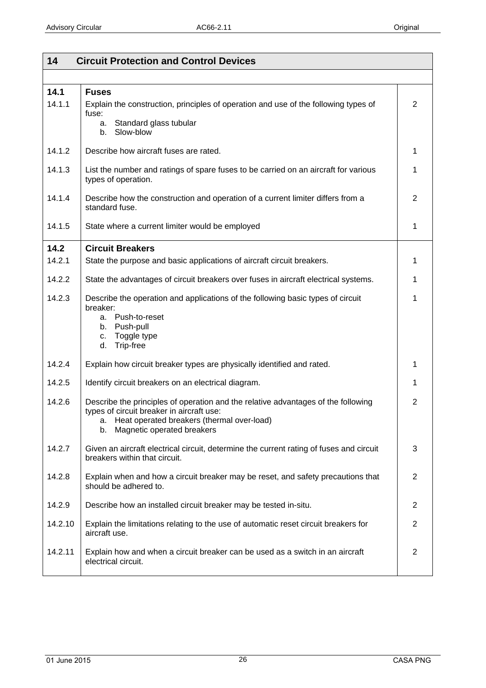<span id="page-25-0"></span>

| 14             | <b>Circuit Protection and Control Devices</b>                                                                                                                                                                    |                |
|----------------|------------------------------------------------------------------------------------------------------------------------------------------------------------------------------------------------------------------|----------------|
|                |                                                                                                                                                                                                                  |                |
| 14.1<br>14.1.1 | <b>Fuses</b><br>Explain the construction, principles of operation and use of the following types of<br>fuse:<br>a. Standard glass tubular                                                                        | 2              |
|                | b. Slow-blow                                                                                                                                                                                                     |                |
| 14.1.2         | Describe how aircraft fuses are rated.                                                                                                                                                                           | 1              |
| 14.1.3         | List the number and ratings of spare fuses to be carried on an aircraft for various<br>types of operation.                                                                                                       | 1              |
| 14.1.4         | Describe how the construction and operation of a current limiter differs from a<br>standard fuse.                                                                                                                | 2              |
| 14.1.5         | State where a current limiter would be employed                                                                                                                                                                  | 1              |
| 14.2           | <b>Circuit Breakers</b>                                                                                                                                                                                          |                |
| 14.2.1         | State the purpose and basic applications of aircraft circuit breakers.                                                                                                                                           | 1              |
| 14.2.2         | State the advantages of circuit breakers over fuses in aircraft electrical systems.                                                                                                                              | 1              |
| 14.2.3         | Describe the operation and applications of the following basic types of circuit<br>breaker:<br>a. Push-to-reset<br>b. Push-pull<br>Toggle type<br>C.<br>d.<br>Trip-free                                          | 1              |
| 14.2.4         | Explain how circuit breaker types are physically identified and rated.                                                                                                                                           | 1              |
| 14.2.5         | Identify circuit breakers on an electrical diagram.                                                                                                                                                              | 1              |
| 14.2.6         | Describe the principles of operation and the relative advantages of the following<br>types of circuit breaker in aircraft use:<br>a. Heat operated breakers (thermal over-load)<br>b. Magnetic operated breakers | $\overline{2}$ |
| 14.2.7         | Given an aircraft electrical circuit, determine the current rating of fuses and circuit<br>breakers within that circuit.                                                                                         | 3              |
| 14.2.8         | Explain when and how a circuit breaker may be reset, and safety precautions that<br>should be adhered to.                                                                                                        | 2              |
| 14.2.9         | Describe how an installed circuit breaker may be tested in-situ.                                                                                                                                                 | 2              |
| 14.2.10        | Explain the limitations relating to the use of automatic reset circuit breakers for<br>aircraft use.                                                                                                             | 2              |
| 14.2.11        | Explain how and when a circuit breaker can be used as a switch in an aircraft<br>electrical circuit.                                                                                                             | 2              |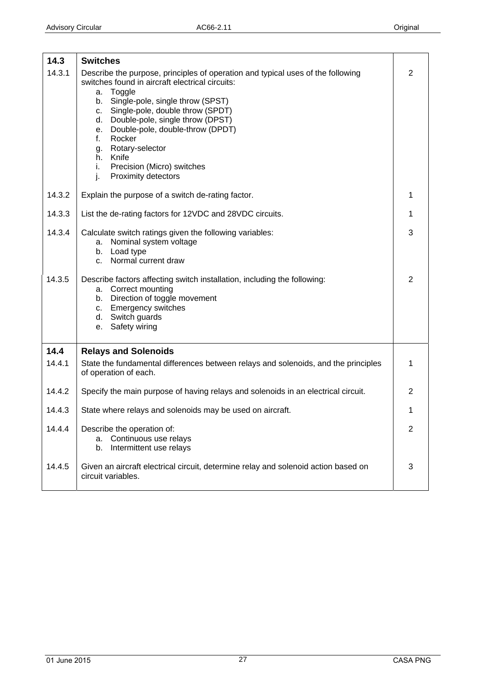<span id="page-26-0"></span>

| 14.3   | <b>Switches</b>                                                                                                                                                                                                                                                                                                                                                                                                                                  |                |
|--------|--------------------------------------------------------------------------------------------------------------------------------------------------------------------------------------------------------------------------------------------------------------------------------------------------------------------------------------------------------------------------------------------------------------------------------------------------|----------------|
| 14.3.1 | Describe the purpose, principles of operation and typical uses of the following<br>switches found in aircraft electrical circuits:<br>Toggle<br>a.<br>Single-pole, single throw (SPST)<br>b.<br>Single-pole, double throw (SPDT)<br>c.<br>Double-pole, single throw (DPST)<br>d.<br>Double-pole, double-throw (DPDT)<br>е.<br>Rocker<br>f.<br>Rotary-selector<br>g.<br>h. Knife<br>i.<br>Precision (Micro) switches<br>j.<br>Proximity detectors | $\overline{2}$ |
| 14.3.2 | Explain the purpose of a switch de-rating factor.                                                                                                                                                                                                                                                                                                                                                                                                | 1              |
| 14.3.3 | List the de-rating factors for 12VDC and 28VDC circuits.                                                                                                                                                                                                                                                                                                                                                                                         | 1              |
| 14.3.4 | Calculate switch ratings given the following variables:<br>Nominal system voltage<br>а.<br>b. Load type<br>c. Normal current draw                                                                                                                                                                                                                                                                                                                | 3              |
| 14.3.5 | Describe factors affecting switch installation, including the following:<br>a. Correct mounting<br>b. Direction of toggle movement<br>c. Emergency switches<br>d. Switch guards<br>Safety wiring<br>e.                                                                                                                                                                                                                                           | $\overline{2}$ |
| 14.4   | <b>Relays and Solenoids</b>                                                                                                                                                                                                                                                                                                                                                                                                                      |                |
| 14.4.1 | State the fundamental differences between relays and solenoids, and the principles<br>of operation of each.                                                                                                                                                                                                                                                                                                                                      | 1              |
| 14.4.2 | Specify the main purpose of having relays and solenoids in an electrical circuit.                                                                                                                                                                                                                                                                                                                                                                | $\overline{2}$ |
| 14.4.3 | State where relays and solenoids may be used on aircraft.                                                                                                                                                                                                                                                                                                                                                                                        | 1              |
| 14.4.4 | Describe the operation of:<br>Continuous use relays<br>а.<br>Intermittent use relays<br>b.                                                                                                                                                                                                                                                                                                                                                       | 2              |
| 14.4.5 | Given an aircraft electrical circuit, determine relay and solenoid action based on<br>circuit variables.                                                                                                                                                                                                                                                                                                                                         | 3              |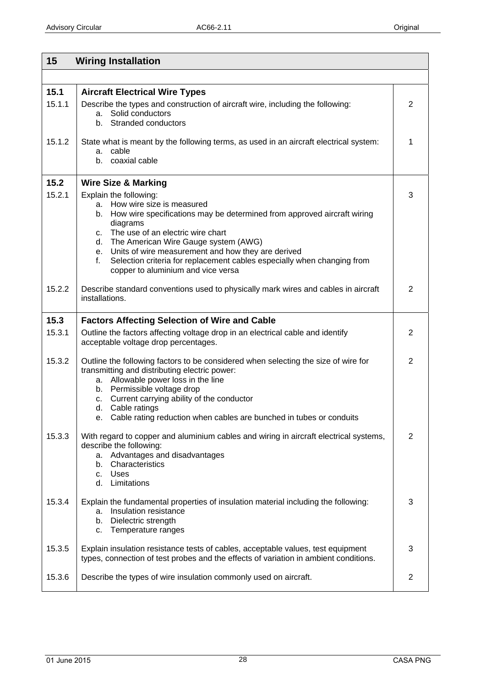<span id="page-27-0"></span>

| 15             | <b>Wiring Installation</b>                                                                                                                                                                                                                                                                                                                                 |                |
|----------------|------------------------------------------------------------------------------------------------------------------------------------------------------------------------------------------------------------------------------------------------------------------------------------------------------------------------------------------------------------|----------------|
|                |                                                                                                                                                                                                                                                                                                                                                            |                |
| 15.1<br>15.1.1 | <b>Aircraft Electrical Wire Types</b><br>Describe the types and construction of aircraft wire, including the following:<br>a. Solid conductors<br>b. Stranded conductors                                                                                                                                                                                   | 2              |
| 15.1.2         | State what is meant by the following terms, as used in an aircraft electrical system:<br>a. cable<br>b. coaxial cable                                                                                                                                                                                                                                      | 1              |
| 15.2           | <b>Wire Size &amp; Marking</b>                                                                                                                                                                                                                                                                                                                             |                |
| 15.2.1         | Explain the following:<br>a. How wire size is measured<br>b. How wire specifications may be determined from approved aircraft wiring<br>diagrams<br>c. The use of an electric wire chart<br>d. The American Wire Gauge system (AWG)                                                                                                                        | 3              |
|                | e. Units of wire measurement and how they are derived<br>Selection criteria for replacement cables especially when changing from<br>f.<br>copper to aluminium and vice versa                                                                                                                                                                               |                |
| 15.2.2         | Describe standard conventions used to physically mark wires and cables in aircraft<br>installations.                                                                                                                                                                                                                                                       | $\overline{2}$ |
| 15.3           | <b>Factors Affecting Selection of Wire and Cable</b>                                                                                                                                                                                                                                                                                                       |                |
| 15.3.1         | Outline the factors affecting voltage drop in an electrical cable and identify<br>acceptable voltage drop percentages.                                                                                                                                                                                                                                     | $\overline{2}$ |
| 15.3.2         | Outline the following factors to be considered when selecting the size of wire for<br>transmitting and distributing electric power:<br>a. Allowable power loss in the line<br>b. Permissible voltage drop<br>c. Current carrying ability of the conductor<br>d. Cable ratings<br>Cable rating reduction when cables are bunched in tubes or conduits<br>е. | 2              |
| 15.3.3         | With regard to copper and aluminium cables and wiring in aircraft electrical systems,<br>describe the following:<br>a. Advantages and disadvantages<br>Characteristics<br>b.<br><b>Uses</b><br>C.<br>d. Limitations                                                                                                                                        | $\overline{2}$ |
| 15.3.4         | Explain the fundamental properties of insulation material including the following:<br>Insulation resistance<br>а.<br>Dielectric strength<br>b.<br>Temperature ranges<br>c.                                                                                                                                                                                 | 3              |
| 15.3.5         | Explain insulation resistance tests of cables, acceptable values, test equipment<br>types, connection of test probes and the effects of variation in ambient conditions.                                                                                                                                                                                   | 3              |
| 15.3.6         | Describe the types of wire insulation commonly used on aircraft.                                                                                                                                                                                                                                                                                           | $\overline{2}$ |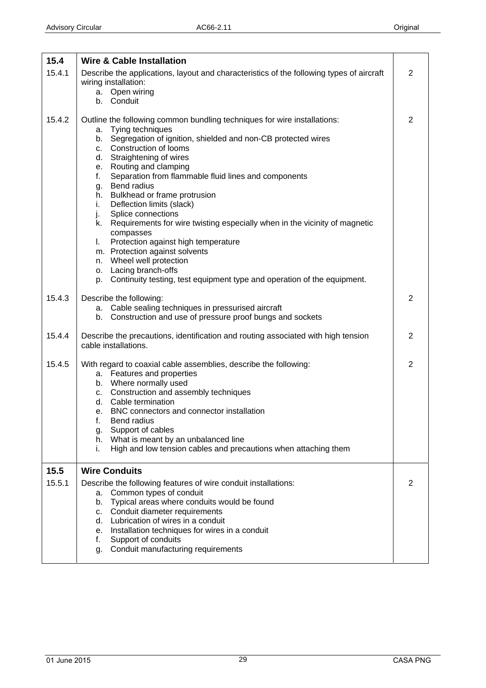<span id="page-28-0"></span>

| 15.4           | <b>Wire &amp; Cable Installation</b>                                                                                                                                                                                                                                                                                                                                                                                                                                                                                                                                                                                                                                                                                                                              |                |
|----------------|-------------------------------------------------------------------------------------------------------------------------------------------------------------------------------------------------------------------------------------------------------------------------------------------------------------------------------------------------------------------------------------------------------------------------------------------------------------------------------------------------------------------------------------------------------------------------------------------------------------------------------------------------------------------------------------------------------------------------------------------------------------------|----------------|
| 15.4.1         | Describe the applications, layout and characteristics of the following types of aircraft<br>wiring installation:<br>a. Open wiring<br>b. Conduit                                                                                                                                                                                                                                                                                                                                                                                                                                                                                                                                                                                                                  | $\overline{2}$ |
| 15.4.2         | Outline the following common bundling techniques for wire installations:<br>a. Tying techniques<br>b. Segregation of ignition, shielded and non-CB protected wires<br>Construction of looms<br>C.<br>d. Straightening of wires<br>e. Routing and clamping<br>Separation from flammable fluid lines and components<br>f.<br>Bend radius<br>g.<br>h. Bulkhead or frame protrusion<br>Deflection limits (slack)<br>i.<br>Splice connections<br>j.<br>Requirements for wire twisting especially when in the vicinity of magnetic<br>k.<br>compasses<br>Protection against high temperature<br>L.<br>m. Protection against solvents<br>n. Wheel well protection<br>o. Lacing branch-offs<br>p. Continuity testing, test equipment type and operation of the equipment. | $\overline{2}$ |
| 15.4.3         | Describe the following:<br>a. Cable sealing techniques in pressurised aircraft<br>Construction and use of pressure proof bungs and sockets<br>b.                                                                                                                                                                                                                                                                                                                                                                                                                                                                                                                                                                                                                  | $\overline{2}$ |
| 15.4.4         | Describe the precautions, identification and routing associated with high tension<br>cable installations.                                                                                                                                                                                                                                                                                                                                                                                                                                                                                                                                                                                                                                                         | $\overline{2}$ |
| 15.4.5         | With regard to coaxial cable assemblies, describe the following:<br>a. Features and properties<br>b. Where normally used<br>c. Construction and assembly techniques<br>d. Cable termination<br>e. BNC connectors and connector installation<br>f.<br>Bend radius<br>Support of cables<br>g.<br>h. What is meant by an unbalanced line<br>High and low tension cables and precautions when attaching them<br>İ.                                                                                                                                                                                                                                                                                                                                                    | $\overline{2}$ |
| 15.5<br>15.5.1 | <b>Wire Conduits</b><br>Describe the following features of wire conduit installations:<br>Common types of conduit<br>а.<br>Typical areas where conduits would be found<br>b.<br>Conduit diameter requirements<br>C.<br>Lubrication of wires in a conduit<br>d.<br>Installation techniques for wires in a conduit<br>е.<br>Support of conduits<br>f.<br>Conduit manufacturing requirements<br>g.                                                                                                                                                                                                                                                                                                                                                                   | $\overline{2}$ |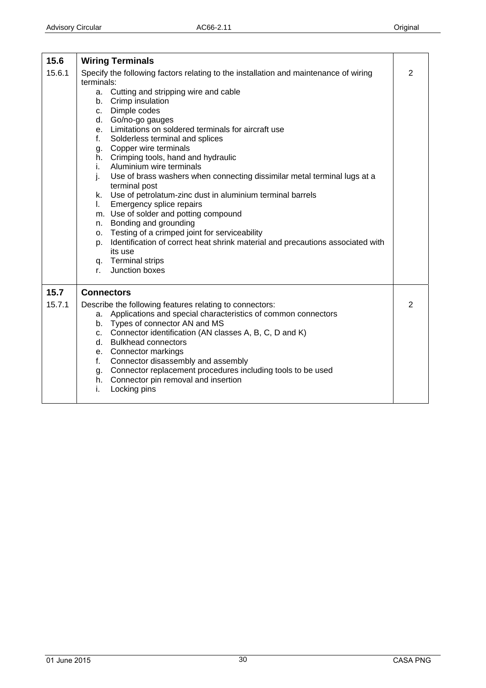<span id="page-29-0"></span>

| 15.6   | <b>Wiring Terminals</b>                                                                                                                                                                                                                                                                                                                                                                                                                                                                                                                                                                                                                                                                                                                                                                                                                               |                |
|--------|-------------------------------------------------------------------------------------------------------------------------------------------------------------------------------------------------------------------------------------------------------------------------------------------------------------------------------------------------------------------------------------------------------------------------------------------------------------------------------------------------------------------------------------------------------------------------------------------------------------------------------------------------------------------------------------------------------------------------------------------------------------------------------------------------------------------------------------------------------|----------------|
| 15.6.1 | Specify the following factors relating to the installation and maintenance of wiring<br>terminals:<br>a. Cutting and stripping wire and cable<br>b. Crimp insulation<br>Dimple codes<br>C.<br>d. Go/no-go gauges<br>e. Limitations on soldered terminals for aircraft use<br>Solderless terminal and splices<br>f.<br>g. Copper wire terminals<br>h. Crimping tools, hand and hydraulic<br>Aluminium wire terminals<br>İ.<br>Use of brass washers when connecting dissimilar metal terminal lugs at a<br>j.<br>terminal post<br>Use of petrolatum-zinc dust in aluminium terminal barrels<br>k.<br>Emergency splice repairs<br>L.<br>m. Use of solder and potting compound<br>Bonding and grounding<br>n.<br>o. Testing of a crimped joint for serviceability<br>Identification of correct heat shrink material and precautions associated with<br>p. | $\overline{2}$ |
|        | its use<br>q. Terminal strips<br>Junction boxes<br>r.                                                                                                                                                                                                                                                                                                                                                                                                                                                                                                                                                                                                                                                                                                                                                                                                 |                |
| 15.7   | <b>Connectors</b>                                                                                                                                                                                                                                                                                                                                                                                                                                                                                                                                                                                                                                                                                                                                                                                                                                     |                |
| 15.7.1 | Describe the following features relating to connectors:<br>a. Applications and special characteristics of common connectors<br>b. Types of connector AN and MS<br>c. Connector identification (AN classes A, B, C, D and K)<br><b>Bulkhead connectors</b><br>d.<br>e. Connector markings<br>Connector disassembly and assembly<br>f.<br>g. Connector replacement procedures including tools to be used<br>h. Connector pin removal and insertion<br>i.<br>Locking pins                                                                                                                                                                                                                                                                                                                                                                                | $\overline{2}$ |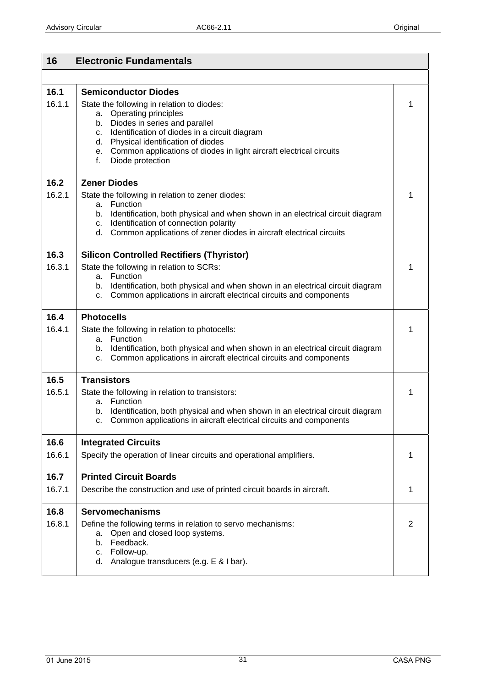<span id="page-30-0"></span>

| 16             | <b>Electronic Fundamentals</b>                                                                                                                                                                                                                                                                                                                       |                |
|----------------|------------------------------------------------------------------------------------------------------------------------------------------------------------------------------------------------------------------------------------------------------------------------------------------------------------------------------------------------------|----------------|
|                |                                                                                                                                                                                                                                                                                                                                                      |                |
| 16.1<br>16.1.1 | <b>Semiconductor Diodes</b><br>State the following in relation to diodes:<br>Operating principles<br>а.<br>Diodes in series and parallel<br>b.<br>Identification of diodes in a circuit diagram<br>C.<br>d. Physical identification of diodes<br>Common applications of diodes in light aircraft electrical circuits<br>e.<br>Diode protection<br>f. | 1              |
| 16.2           | <b>Zener Diodes</b>                                                                                                                                                                                                                                                                                                                                  |                |
| 16.2.1         | State the following in relation to zener diodes:<br>a. Function<br>Identification, both physical and when shown in an electrical circuit diagram<br>b.<br>Identification of connection polarity<br>C.<br>d. Common applications of zener diodes in aircraft electrical circuits                                                                      | 1              |
| 16.3           | <b>Silicon Controlled Rectifiers (Thyristor)</b>                                                                                                                                                                                                                                                                                                     |                |
| 16.3.1         | State the following in relation to SCRs:<br>a. Function<br>Identification, both physical and when shown in an electrical circuit diagram<br>b.<br>Common applications in aircraft electrical circuits and components<br>C.                                                                                                                           | 1              |
| 16.4           | <b>Photocells</b>                                                                                                                                                                                                                                                                                                                                    |                |
| 16.4.1         | State the following in relation to photocells:<br>a. Function<br>Identification, both physical and when shown in an electrical circuit diagram<br>b.<br>Common applications in aircraft electrical circuits and components<br>C.                                                                                                                     | 1              |
| 16.5           | <b>Transistors</b>                                                                                                                                                                                                                                                                                                                                   |                |
| 16.5.1         | State the following in relation to transistors:<br>a. Function<br>Identification, both physical and when shown in an electrical circuit diagram<br>b.<br>Common applications in aircraft electrical circuits and components                                                                                                                          | 1              |
| 16.6           | <b>Integrated Circuits</b>                                                                                                                                                                                                                                                                                                                           |                |
| 16.6.1         | Specify the operation of linear circuits and operational amplifiers.                                                                                                                                                                                                                                                                                 | 1              |
| 16.7           | <b>Printed Circuit Boards</b>                                                                                                                                                                                                                                                                                                                        |                |
| 16.7.1         | Describe the construction and use of printed circuit boards in aircraft.                                                                                                                                                                                                                                                                             | 1              |
| 16.8           | <b>Servomechanisms</b>                                                                                                                                                                                                                                                                                                                               |                |
| 16.8.1         | Define the following terms in relation to servo mechanisms:<br>Open and closed loop systems.<br>а.<br>b. Feedback.<br>c. Follow-up.<br>d. Analogue transducers (e.g. E & I bar).                                                                                                                                                                     | $\overline{2}$ |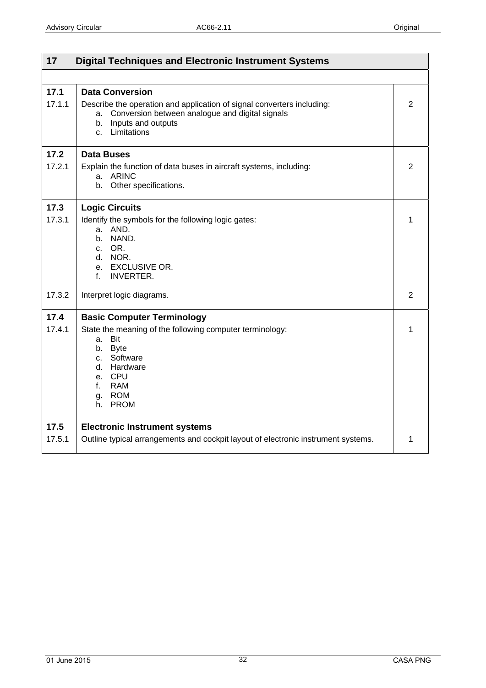<span id="page-31-0"></span>

| 17<br><b>Digital Techniques and Electronic Instrument Systems</b> |                                                                                                                                                                                                            |   |
|-------------------------------------------------------------------|------------------------------------------------------------------------------------------------------------------------------------------------------------------------------------------------------------|---|
|                                                                   |                                                                                                                                                                                                            |   |
| 17.1<br>17.1.1                                                    | <b>Data Conversion</b><br>Describe the operation and application of signal converters including:<br>Conversion between analogue and digital signals<br>a.<br>Inputs and outputs<br>b.<br>Limitations<br>C. | 2 |
| 17.2                                                              | <b>Data Buses</b>                                                                                                                                                                                          |   |
| 17.2.1                                                            | Explain the function of data buses in aircraft systems, including:<br>a. ARINC<br>b. Other specifications.                                                                                                 | 2 |
| 17.3                                                              | <b>Logic Circuits</b>                                                                                                                                                                                      |   |
| 17.3.1                                                            | Identify the symbols for the following logic gates:<br>a. AND.<br>NAND.<br>$h_{-}$<br>c. OR.<br>d. NOR.<br>e. EXCLUSIVE OR.<br><b>INVERTER.</b><br>f.                                                      | 1 |
| 17.3.2                                                            | Interpret logic diagrams.                                                                                                                                                                                  | 2 |
| 17.4                                                              | <b>Basic Computer Terminology</b>                                                                                                                                                                          |   |
| 17.4.1                                                            | State the meaning of the following computer terminology:<br>Bit<br>a.<br>b. Byte<br>c. Software<br>d. Hardware<br>e. CPU<br><b>RAM</b><br>f.<br>g. ROM<br>h. PROM                                          | 1 |
| 17.5                                                              | <b>Electronic Instrument systems</b>                                                                                                                                                                       |   |
| 17.5.1                                                            | Outline typical arrangements and cockpit layout of electronic instrument systems.                                                                                                                          | 1 |